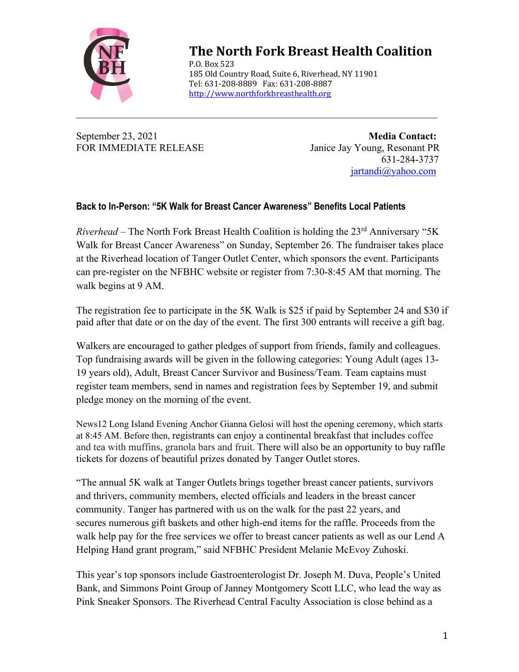

## **The North Fork Breast Health Coalition**

P.O. Box 523 185 Old Country Road, Suite 6, Riverhead, NY 11901 Tel: 631-208-8889 Fax: 631-208-8887 http://www.northforkbreasthealth.org

 $\mathcal{L}_\text{max} = \mathcal{L}_\text{max} = \mathcal{L}_\text{max} = \mathcal{L}_\text{max} = \mathcal{L}_\text{max} = \mathcal{L}_\text{max} = \mathcal{L}_\text{max} = \mathcal{L}_\text{max} = \mathcal{L}_\text{max} = \mathcal{L}_\text{max} = \mathcal{L}_\text{max} = \mathcal{L}_\text{max} = \mathcal{L}_\text{max} = \mathcal{L}_\text{max} = \mathcal{L}_\text{max} = \mathcal{L}_\text{max} = \mathcal{L}_\text{max} = \mathcal{L}_\text{max} = \mathcal{$ 

September 23, 2021 **Media Contact:** FOR IMMEDIATE RELEASE Janice Jay Young, Resonant PR 631-284-3737 jartandi@yahoo.com

## **Back to In-Person: "5K Walk for Breast Cancer Awareness" Benefits Local Patients**

*Riverhead* – The North Fork Breast Health Coalition is holding the 23<sup>rd</sup> Anniversary "5K Walk for Breast Cancer Awareness" on Sunday, September 26. The fundraiser takes place at the Riverhead location of Tanger Outlet Center, which sponsors the event. Participants can pre-register on the NFBHC website or register from 7:30-8:45 AM that morning. The walk begins at 9 AM.

The registration fee to participate in the 5K Walk is \$25 if paid by September 24 and \$30 if paid after that date or on the day of the event. The first 300 entrants will receive a gift bag.

Walkers are encouraged to gather pledges of support from friends, family and colleagues. Top fundraising awards will be given in the following categories: Young Adult (ages 13- 19 years old), Adult, Breast Cancer Survivor and Business/Team. Team captains must register team members, send in names and registration fees by September 19, and submit pledge money on the morning of the event.

News12 Long Island Evening Anchor Gianna Gelosi will host the opening ceremony, which starts at 8:45 AM. Before then, registrants can enjoy a continental breakfast that includes coffee and tea with muffins, granola bars and fruit. There will also be an opportunity to buy raffle tickets for dozens of beautiful prizes donated by Tanger Outlet stores.

"The annual 5K walk at Tanger Outlets brings together breast cancer patients, survivors and thrivers, community members, elected officials and leaders in the breast cancer community. Tanger has partnered with us on the walk for the past 22 years, and secures numerous gift baskets and other high-end items for the raffle. Proceeds from the walk help pay for the free services we offer to breast cancer patients as well as our Lend A Helping Hand grant program," said NFBHC President Melanie McEvoy Zuhoski.

This year's top sponsors include Gastroenterologist Dr. Joseph M. Duva, People's United Bank, and Simmons Point Group of Janney Montgomery Scott LLC, who lead the way as Pink Sneaker Sponsors. The Riverhead Central Faculty Association is close behind as a